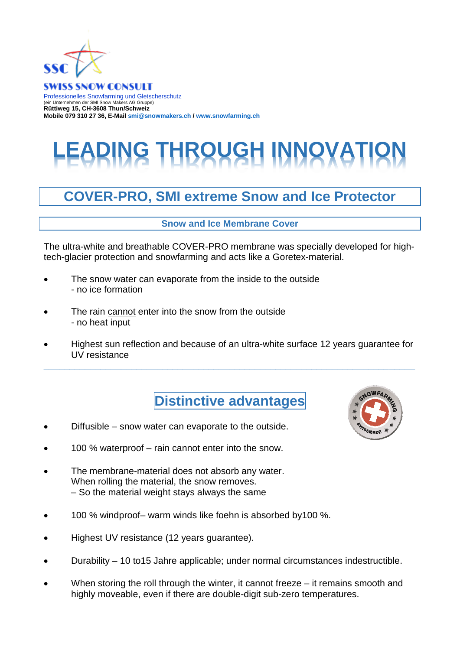

**SWISS SNOW CONSULT** Professionelles Snowfarming und Gletscherschutz (ein Unternehmen der SMI Snow Makers AG Gruppe) **Rüttiweg 15, CH-3608 Thun/Schweiz Mobile 079 310 27 36, E-Mai[l smi@snowmakers.ch](mailto:smi@snowmakers.ch) / [www.snowfarming.ch](http://www.snowfarming.ch/)**

## **DING THROUGH INNOVATION**

## **COVER-PRO, SMI extreme Snow and Ice Protector**

**Snow and Ice Membrane Cover** 

The ultra-white and breathable COVER-PRO membrane was specially developed for hightech-glacier protection and snowfarming and acts like a Goretex-material.

- The snow water can evaporate from the inside to the outside - no ice formation
- The rain cannot enter into the snow from the outside - no heat input
- Highest sun reflection and because of an ultra-white surface 12 years guarantee for UV resistance

**\_\_\_\_\_\_\_\_\_\_\_\_\_\_\_\_\_\_\_\_\_\_\_\_\_\_\_\_\_\_\_\_\_\_\_\_\_\_\_\_\_\_\_\_\_\_\_\_\_\_\_\_\_\_\_\_\_\_\_\_\_\_\_\_\_\_\_\_\_\_\_\_**



- Diffusible snow water can evaporate to the outside.
- 100 % waterproof rain cannot enter into the snow.
- The membrane-material does not absorb any water. When rolling the material, the snow removes. – So the material weight stays always the same
- 100 % windproof– warm winds like foehn is absorbed by100 %.
- Highest UV resistance (12 years guarantee).
- Durability 10 to15 Jahre applicable; under normal circumstances indestructible.
- When storing the roll through the winter, it cannot freeze  $-$  it remains smooth and highly moveable, even if there are double-digit sub-zero temperatures.